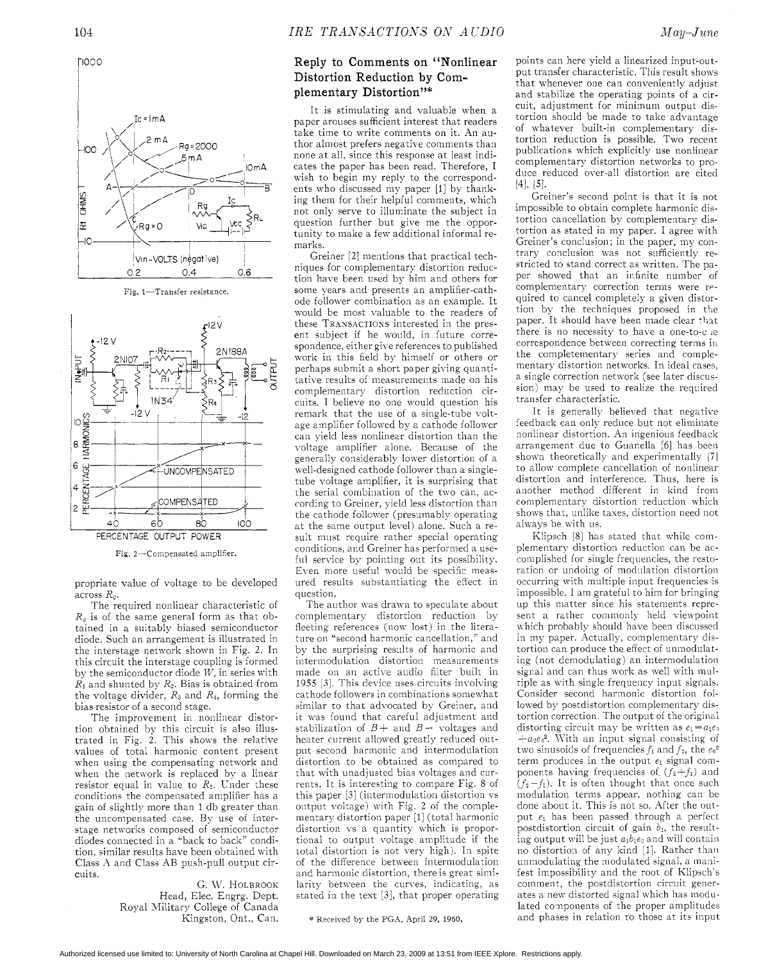

Fig. 1-Transfer resistance.



Fig. 2-Compensated amplifier.

propriate value of voltage to be developed across *R,.* 

The required nonlinear characteristic of  $R_g$  is of the same general form as that obtained in a suitably biased semiconductor diode, Such an arrangement is illustrated in the interstage network shown in Fig. 2. In this circuit the interstage coupling is formed by the semiconductor diode W, in series with  $R_1$  and shunted by  $R_2$ . Bias is obtained from the voltage divider,  $R_3$  and  $R_4$ , forming the bias resistor of a second stage.

The improvement in nonlinear distortion obtained by this circuit is also illustrated in Fig. 2. This shows the relative values of total harmonic content present when using the compensating network and when the network is replaced by a linear resistor equal in value to  $R_2$ . Under these conditions the compensated amplifier has a gain of slightly more than 1 db greater than the uncompensated case. By use of interstage networks composed of semiconductor diodes connected in a "back to back" condition, similar results have been obtained with Class :i and Class AB push-pull output circuits.

> G. W. HOLBROOK Head, Elec. Engrg. Dept. Royal Military College of Canada Kingston, Ont., Can.

## Reply to Comments on "Nonlinear

It is stimulating and valuable when a paper arouses sufficient interest that readers take time to write comments on it. An author almost prefers negative comments than none at all, since this response at least indicates the paper has been read. Therefore, I xish to begin my reply to the correspondents who discussed my paper [l] by thanking them for their helpful comments, which not only serve to illuminate the subject in question further but give me the opportunity to make a few additional informal remarks.

Greiner *[2]* mentions that practical techniques for complementary distortion reduction have been used by him and others for some years and presents an amplifier-cathode follower combination as an example. It would be most valuable to the readers of these TRANSACTIONS interested in the present subject if he would, in future corrework in this field by himself or others or  $\begin{bmatrix} 2N107 \ \end{bmatrix}$   $\begin{bmatrix} 2N107 \ \end{bmatrix}$   $\begin{bmatrix} 2N107 \ \end{bmatrix}$   $\begin{bmatrix} 2N107 \ \end{bmatrix}$   $\begin{bmatrix} 2N107 \ \end{bmatrix}$   $\begin{bmatrix} 2N107 \ \end{bmatrix}$   $\begin{bmatrix} 2N107 \ \end{bmatrix}$   $\begin{bmatrix} 2N107 \ \end{bmatrix}$   $\begin{bmatrix} 2N107 \ \end{bmatrix}$   $\begin{bmatrix} 2N107 \ \end{bmatrix}$  perhaps submit a short paper giving quanticuits. I believe no one would question his remark that the use of a single-tube voltage amplifier followed by a cathode follower can yield less nonlinear distortion than the voltage amplifier alone. Because of the generally considerably lower distortion of a well-designed cathode follower than a singletube voltage amplifier, it is surprising that the serial combination of the two can, according to Greiner, yield less distortion than the cathode follower (presumably operating at the same output level) alone. Such a result must require rather special operating conditions, and Greiner has performed a useful service by pointing out its possibility. Even more useful would be specific measured results ubstantiating the effect in question. spondence, either give references to published

> The author was drawn to speculate about complementary distortion reduction by fleeting references (now lost) in the literature on "second harmonic cancellation," and by the surprising results of harmonic and intermodulation distortion measurements made on an active audio filter built in 1955 *[3].* 'This device uses circuits involving cathode followers in combinations somewhat similar to that advocated by Greiner, and it was found that careful adjustment and stabilization of  $B$  + and  $B$  - voltages and heater current allowed greatly reduced output second harmonic and intermodulation distortion to be obtained as compared to that with unadjusted bias voltages and currents. It is interesting to compare Fig. 8 of this paper [3] (intermodulation distortion vs output voltage) with Fig. 2 of the complementary distortion paper [l] (total harmonic distortion vs a quantity which is proportional to output voltage amplitude if the total distortion is not very high). In spite of the difference between intermodulation and harmonic distortion, there is great similarity between the curves, indicating, as stated in the text *[3],* that proper operating

\* Received by the PGA, April 29, 1960.

points can here vield a linearized input-out-Distortion Reduction by Com-<br>put transfer characteristic. This result shows<br>plementary Distortion"\* and stabilize the operating points of a cirthat whenever one can conveniently adjustmentary Distortion"\* that whenever one can conveniently adjustmentary Distortion"\* cuit, adjustment for minimum output distortion should be made to take advantage of whatever built-in complementary distortion reduction is possible. Two recent publications which explicitly use nonlinear complementary distortion networks to produce reduced over-all distortion are cited  $[4],$   $|5|.$ 

Greiner's second point is that it is not impossible to obtain complete harmonic distortion cancellation by complementary distortion as stated in my paper. I agree with Greiner's conclusion; in the paper, my contrary conclusion was not sufficiently restricted to stand correct as written. The paper showed that an infinite number of complementary correction terms were required to cancel completely a given distortion by the techniques proposed in the paper. It should have been made clear that there is no necessity to have a one-to-o *!e*  correspondence between correcting terms in the completementary series and complementary distortion networks. In ideal cases, a single correction network (see later discussion) may be used to realize the required transfer characteristic.

It is generally believed that negative feedback can only reduce but not eliminate nonlinear distortion. An ingenious feedback arrangement due to Guanella [6] has been shown theoretically and experimentally [7] to allow complete cancellation of nonlinear distortion and interference. Thus, here is another method different in kind from complementary distortion reduction which shows that, unlike taxes, distortion need not always be with us.

Klipsch [8] has stated that while complementary distortion reduction can be accomplished for single frequencies, the restoration or undoing of modulation distortion occurring with multiple input frequencies is impossible. I am grateful to him for bringing up this matter since his statements represent a rather commonly held viewpoint which probably should have been discussed in my paper. Actually, complementary distortion can produce the effect of unmodulating (not demodulating) an intermodulation signal and can thus work as well with multiple as with single frequency input signals. Consider second harmonic distortion followed by postdistortion complementary distortion correction. The output of the original distorting circuit may be written as  $e_1 = a_1 e_2$  $+a_2e_0^2$ . With an input signal consisting of two sinusoids of frequencies  $f_1$  and  $f_2$ , the  $e_0^2$ term produces in the output  $e_1$  signal components having frequencies of  $(f_2+f_1)$  and  $(f_2-f_1)$ . It is often thought that once such modulation terms appear, nothing can be done about it. This is not so. After the output  $e_1$  has been passed through a perfect postdistortion circuit of gain  $b_1$ , the resulting output will be just  $a_1b_1e_0$  and will contain no distortion of any kind [l]. Rather thar unmodulating the modulated signal, a manifest impossibility and the root of Klipsch's comment, the postdistortion circuit generates a nex distorted signal which has modulated components of the proper amplitudes and phases in relation to those at its input